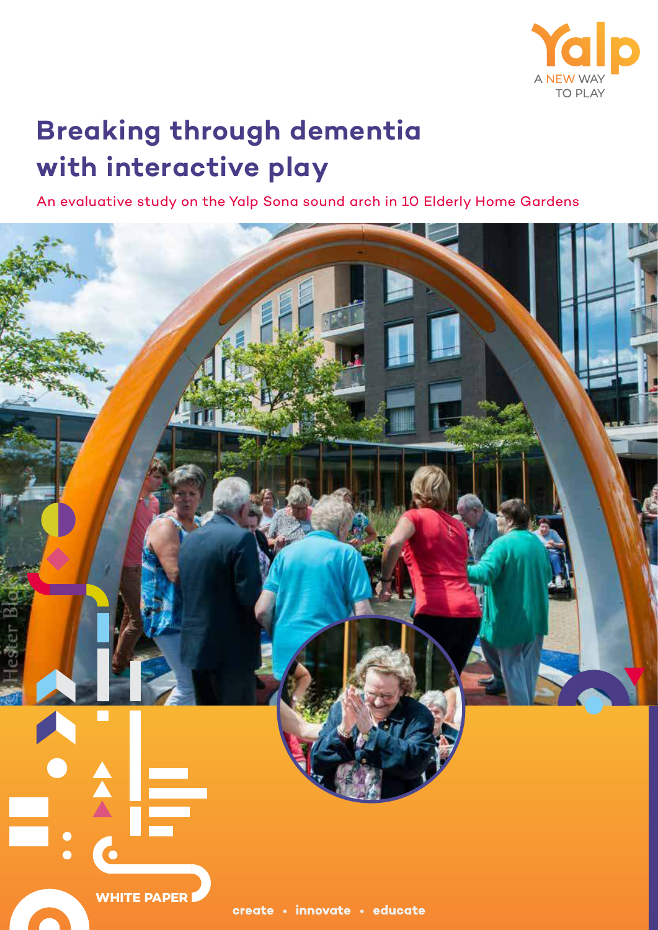

# **Breaking through dementia with interactive play**

An evaluative study on the Yalp Sona sound arch in 10 Elderly Home Gardens

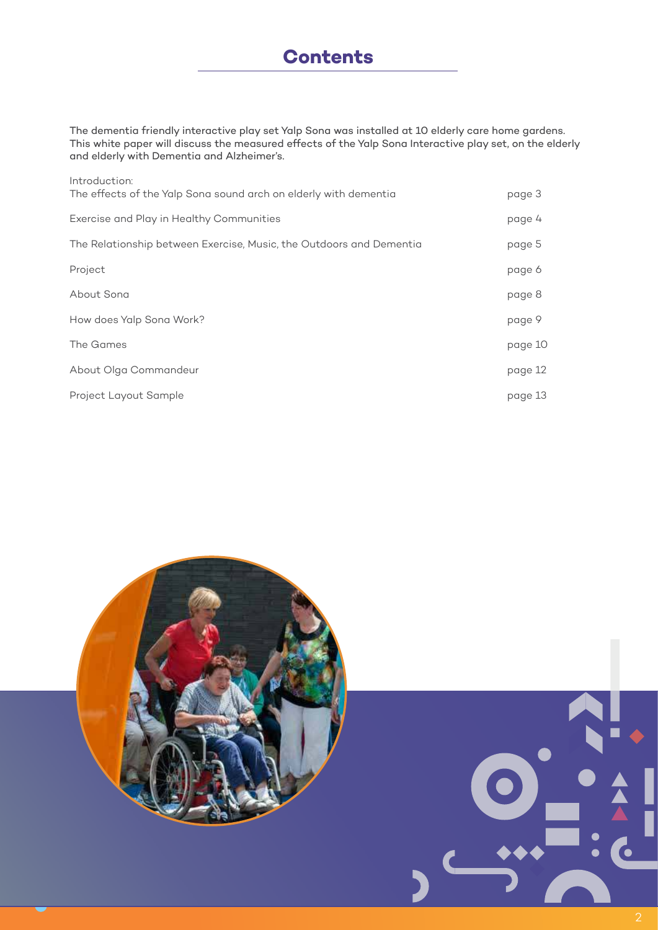The dementia friendly interactive play set Yalp Sona was installed at 10 elderly care home gardens. This white paper will discuss the measured effects of the Yalp Sona Interactive play set, on the elderly and elderly with Dementia and Alzheimer's.

| Introduction:<br>The effects of the Yalp Sona sound arch on elderly with dementia | page 3  |
|-----------------------------------------------------------------------------------|---------|
| Exercise and Play in Healthy Communities                                          | page 4  |
| The Relationship between Exercise, Music, the Outdoors and Dementia               | page 5  |
| Project                                                                           | page 6  |
| About Sona                                                                        | page 8  |
| How does Yalp Sona Work?                                                          | page 9  |
| The Games                                                                         | page 10 |
| About Olga Commandeur                                                             | page 12 |
| Project Layout Sample                                                             | page 13 |

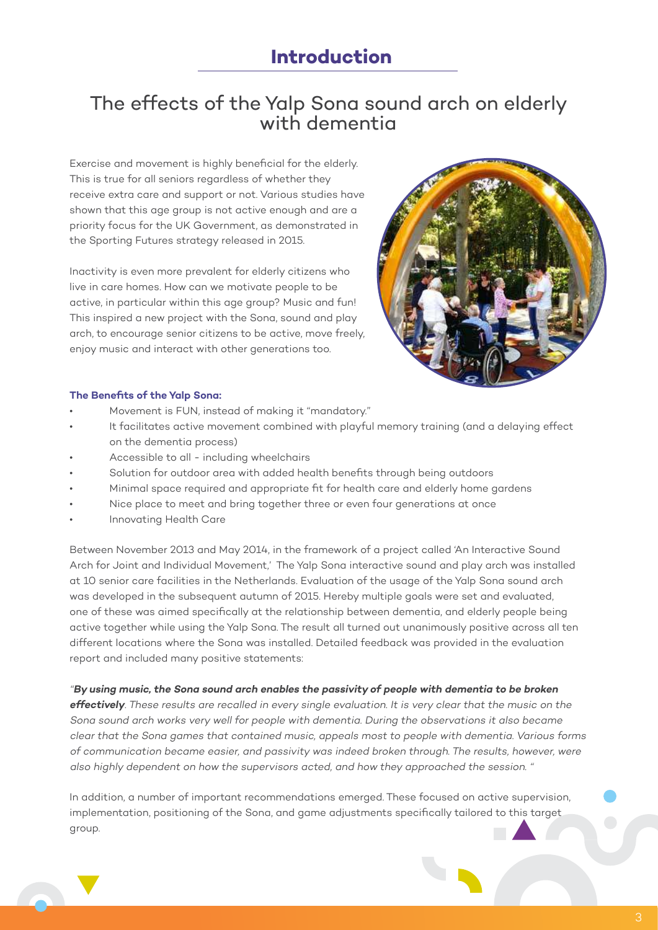### **Introduction**

### The effects of the Yalp Sona sound arch on elderly with dementia

Exercise and movement is highly beneficial for the elderly. This is true for all seniors regardless of whether they receive extra care and support or not. Various studies have shown that this age group is not active enough and are a priority focus for the UK Government, as demonstrated in the Sporting Futures strategy released in 2015.

Inactivity is even more prevalent for elderly citizens who live in care homes. How can we motivate people to be active, in particular within this age group? Music and fun! This inspired a new project with the Sona, sound and play arch, to encourage senior citizens to be active, move freely, enjoy music and interact with other generations too.



#### **The Benefits of the Yalp Sona:**

- Movement is FUN, instead of making it "mandatory."
- It facilitates active movement combined with playful memory training (and a delaying effect on the dementia process)
- Accessible to all including wheelchairs
- Solution for outdoor area with added health benefits through being outdoors
- Minimal space required and appropriate fit for health care and elderly home gardens
- Nice place to meet and bring together three or even four generations at once
- Innovating Health Care

Between November 2013 and May 2014, in the framework of a project called 'An Interactive Sound Arch for Joint and Individual Movement,' The Yalp Sona interactive sound and play arch was installed at 10 senior care facilities in the Netherlands. Evaluation of the usage of the Yalp Sona sound arch was developed in the subsequent autumn of 2015. Hereby multiple goals were set and evaluated, one of these was aimed specifically at the relationship between dementia, and elderly people being active together while using the Yalp Sona. The result all turned out unanimously positive across all ten different locations where the Sona was installed. Detailed feedback was provided in the evaluation report and included many positive statements:

"**By using music, the Sona sound arch enables the passivity of people with dementia to be broken** 

**effectively**. These results are recalled in every single evaluation. It is very clear that the music on the Sona sound arch works very well for people with dementia. During the observations it also became clear that the Sona games that contained music, appeals most to people with dementia. Various forms of communication became easier, and passivity was indeed broken through. The results, however, were also highly dependent on how the supervisors acted, and how they approached the session. "

In addition, a number of important recommendations emerged. These focused on active supervision, implementation, positioning of the Sona, and game adjustments specifically tailored to this target group.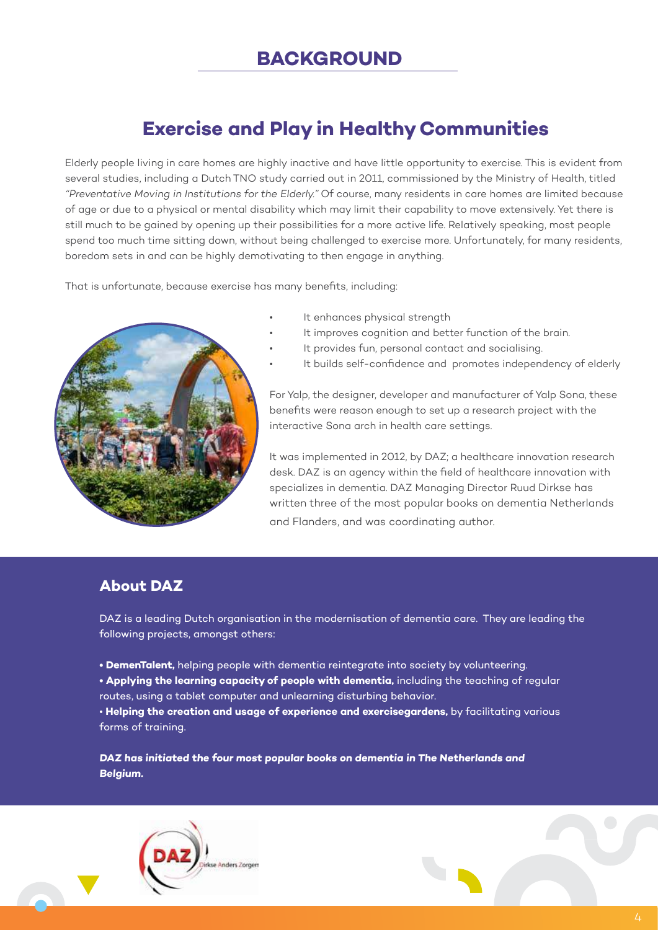# **Exercise and Play in Healthy Communities**

Elderly people living in care homes are highly inactive and have little opportunity to exercise. This is evident from several studies, including a Dutch TNO study carried out in 2011, commissioned by the Ministry of Health, titled "Preventative Moving in Institutions for the Elderly." Of course, many residents in care homes are limited because of age or due to a physical or mental disability which may limit their capability to move extensively. Yet there is still much to be gained by opening up their possibilities for a more active life. Relatively speaking, most people spend too much time sitting down, without being challenged to exercise more. Unfortunately, for many residents, boredom sets in and can be highly demotivating to then engage in anything.

That is unfortunate, because exercise has many benefits, including:



- It enhances physical strength
- It improves cognition and better function of the brain.
- It provides fun, personal contact and socialising.
- It builds self-confidence and promotes independency of elderly

For Yalp, the designer, developer and manufacturer of Yalp Sona, these benefits were reason enough to set up a research project with the interactive Sona arch in health care settings.

It was implemented in 2012, by DAZ; a healthcare innovation research desk. DAZ is an agency within the field of healthcare innovation with specializes in dementia. DAZ Managing Director Ruud Dirkse has written three of the most popular books on dementia Netherlands and Flanders, and was coordinating author.

### **About DAZ**

DAZ is a leading Dutch organisation in the modernisation of dementia care. They are leading the following projects, amongst others:

- **DemenTalent,** helping people with dementia reintegrate into society by volunteering.
- **Applying the learning capacity of people with dementia,** including the teaching of regular
- routes, using a tablet computer and unlearning disturbing behavior.

• **Helping the creation and usage of experience and exercisegardens,** by facilitating various forms of training.

**DAZ has initiated the four most popular books on dementia in The Netherlands and Belgium.** 

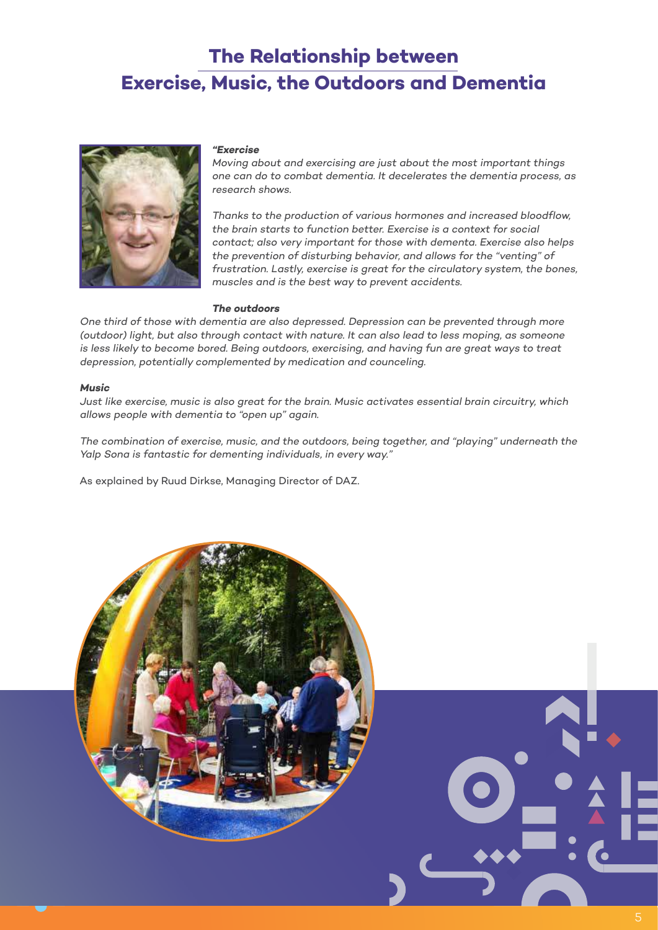# **The Relationship between Exercise, Music, the Outdoors and Dementia**



#### **"Exercise**

Moving about and exercising are just about the most important things one can do to combat dementia. It decelerates the dementia process, as research shows.

Thanks to the production of various hormones and increased bloodflow, the brain starts to function better. Exercise is a context for social contact; also very important for those with dementa. Exercise also helps the prevention of disturbing behavior, and allows for the "venting" of frustration. Lastly, exercise is great for the circulatory system, the bones, muscles and is the best way to prevent accidents.

#### **The outdoors**

One third of those with dementia are also depressed. Depression can be prevented through more (outdoor) light, but also through contact with nature. It can also lead to less moping, as someone is less likely to become bored. Being outdoors, exercising, and having fun are great ways to treat depression, potentially complemented by medication and counceling.

#### **Music**

Just like exercise, music is also great for the brain. Music activates essential brain circuitry, which allows people with dementia to "open up" again.

The combination of exercise, music, and the outdoors, being together, and "playing" underneath the Yalp Sona is fantastic for dementing individuals, in every way."

As explained by Ruud Dirkse, Managing Director of DAZ.

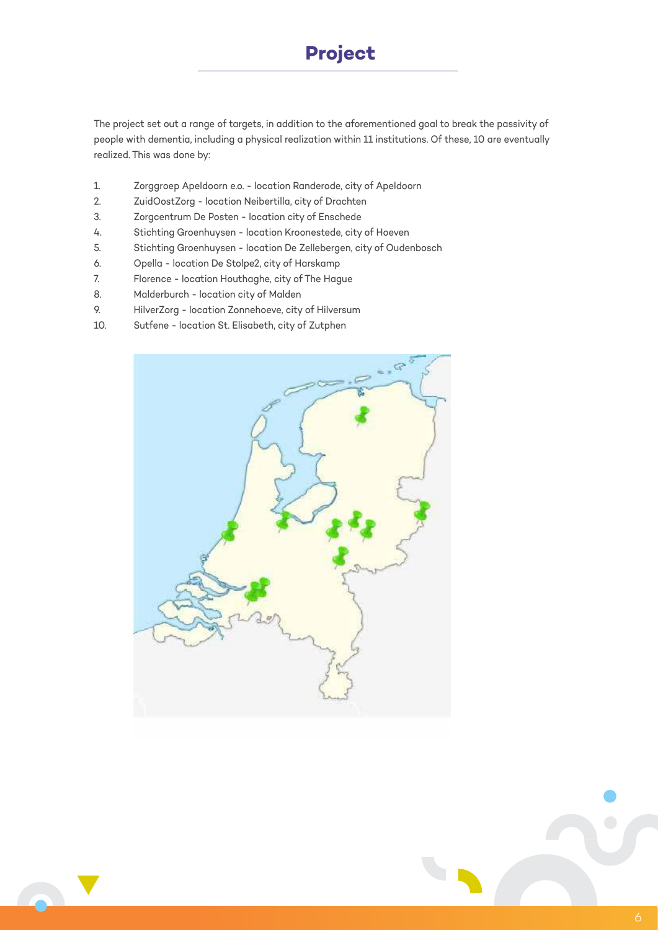The project set out a range of targets, in addition to the aforementioned goal to break the passivity of people with dementia, including a physical realization within 11 institutions. Of these, 10 are eventually realized. This was done by:

- 1. Zorggroep Apeldoorn e.o. location Randerode, city of Apeldoorn
- 2. ZuidOostZorg location Neibertilla, city of Drachten
- 3. Zorgcentrum De Posten location city of Enschede
- 4. Stichting Groenhuysen location Kroonestede, city of Hoeven
- 5. Stichting Groenhuysen location De Zellebergen, city of Oudenbosch
- 6. Opella location De Stolpe2, city of Harskamp
- 7. Florence location Houthaghe, city of The Hague
- 8. Malderburch location city of Malden
- 9. HilverZorg location Zonnehoeve, city of Hilversum
- 10. Sutfene location St. Elisabeth, city of Zutphen



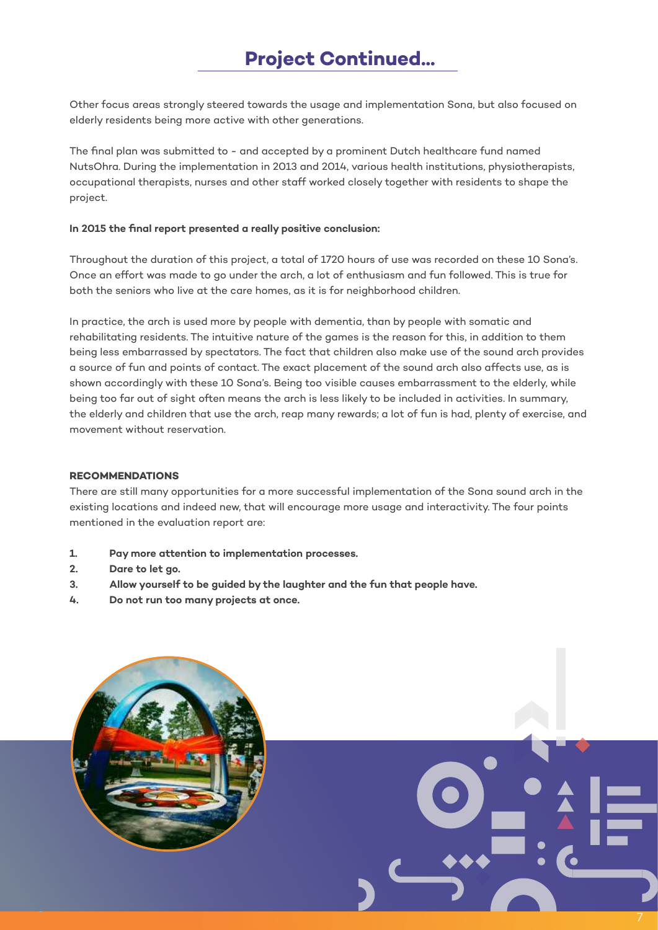# **Project Continued...**

Other focus areas strongly steered towards the usage and implementation Sona, but also focused on elderly residents being more active with other generations.

The final plan was submitted to - and accepted by a prominent Dutch healthcare fund named NutsOhra. During the implementation in 2013 and 2014, various health institutions, physiotherapists, occupational therapists, nurses and other staff worked closely together with residents to shape the project.

#### **In 2015 the final report presented a really positive conclusion:**

Throughout the duration of this project, a total of 1720 hours of use was recorded on these 10 Sona's. Once an effort was made to go under the arch, a lot of enthusiasm and fun followed. This is true for both the seniors who live at the care homes, as it is for neighborhood children.

In practice, the arch is used more by people with dementia, than by people with somatic and rehabilitating residents. The intuitive nature of the games is the reason for this, in addition to them being less embarrassed by spectators. The fact that children also make use of the sound arch provides a source of fun and points of contact. The exact placement of the sound arch also affects use, as is shown accordingly with these 10 Sona's. Being too visible causes embarrassment to the elderly, while being too far out of sight often means the arch is less likely to be included in activities. In summary, the elderly and children that use the arch, reap many rewards; a lot of fun is had, plenty of exercise, and movement without reservation.

#### **RECOMMENDATIONS**

There are still many opportunities for a more successful implementation of the Sona sound arch in the existing locations and indeed new, that will encourage more usage and interactivity. The four points mentioned in the evaluation report are:

- **1. Pay more attention to implementation processes.**
- **2. Dare to let go.**
- **3. Allow yourself to be guided by the laughter and the fun that people have.**
- **4. Do not run too many projects at once.**

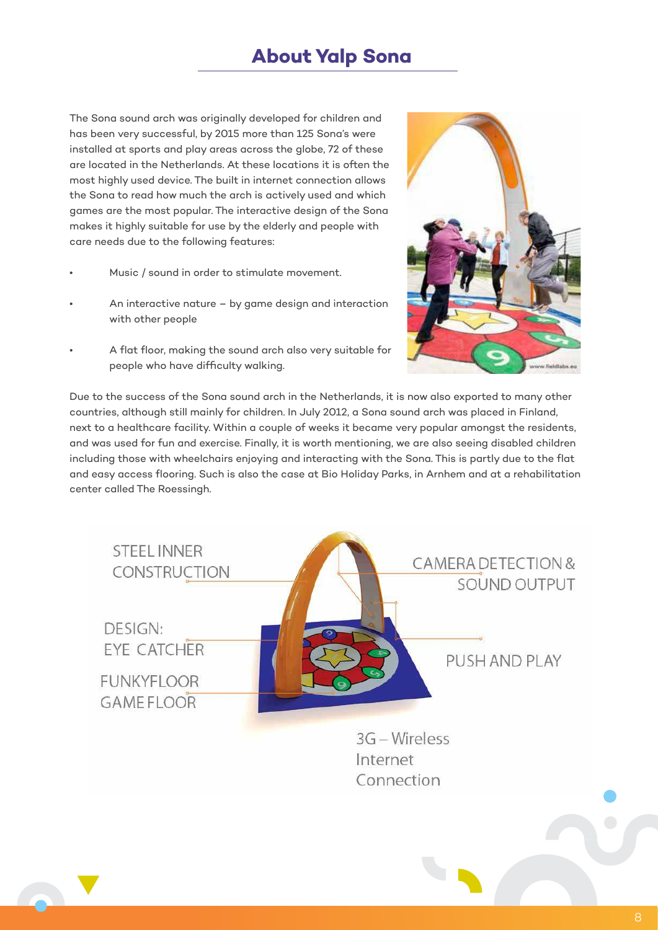## **About Yalp Sona**

The Sona sound arch was originally developed for children and has been very successful, by 2015 more than 125 Sona's were installed at sports and play areas across the globe, 72 of these are located in the Netherlands. At these locations it is often the most highly used device. The built in internet connection allows the Sona to read how much the arch is actively used and which games are the most popular. The interactive design of the Sona makes it highly suitable for use by the elderly and people with care needs due to the following features:

- Music / sound in order to stimulate movement.
- An interactive nature by game design and interaction with other people
- A flat floor, making the sound arch also very suitable for people who have difficulty walking.



Due to the success of the Sona sound arch in the Netherlands, it is now also exported to many other countries, although still mainly for children. In July 2012, a Sona sound arch was placed in Finland, next to a healthcare facility. Within a couple of weeks it became very popular amongst the residents, and was used for fun and exercise. Finally, it is worth mentioning, we are also seeing disabled children including those with wheelchairs enjoying and interacting with the Sona. This is partly due to the flat and easy access flooring. Such is also the case at Bio Holiday Parks, in Arnhem and at a rehabilitation center called The Roessingh.

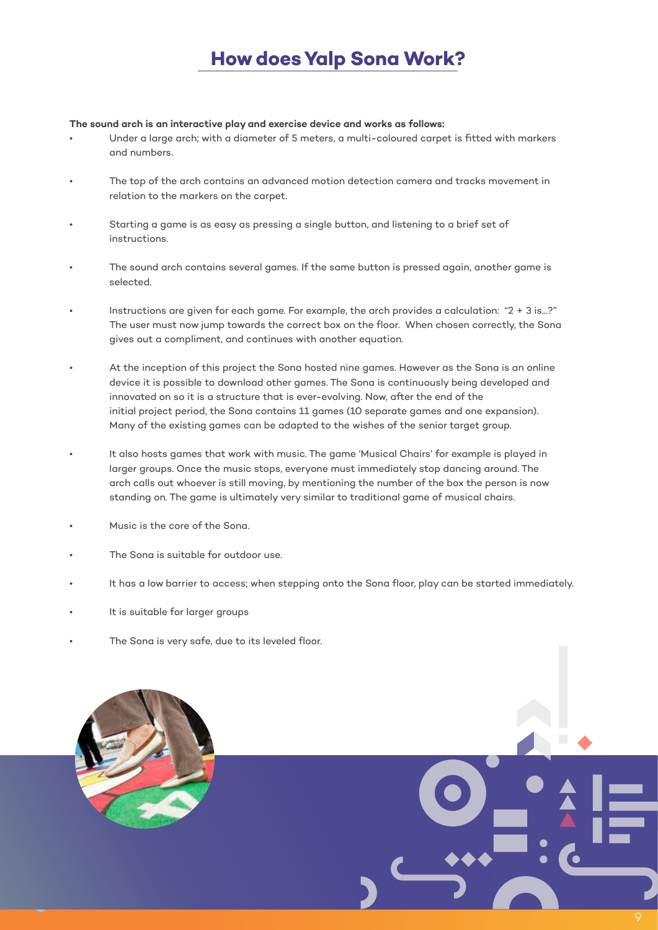# **How does Yalp Sona Work?**

#### **The sound arch is an interactive play and exercise device and works as follows:**

- Under a large arch; with a diameter of 5 meters, a multi-coloured carpet is fitted with markers and numbers.
- The top of the arch contains an advanced motion detection camera and tracks movement in relation to the markers on the carpet.
- Starting a game is as easy as pressing a single button, and listening to a brief set of instructions.
- The sound arch contains several games. If the same button is pressed again, another game is selected.
- Instructions are given for each game. For example, the arch provides a calculation: "2 + 3 is...?" The user must now jump towards the correct box on the floor. When chosen correctly, the Sona gives out a compliment, and continues with another equation.
- At the inception of this project the Sona hosted nine games. However as the Sona is an online device it is possible to download other games. The Sona is continuously being developed and innovated on so it is a structure that is ever-evolving. Now, after the end of the initial project period, the Sona contains 11 games (10 separate games and one expansion). Many of the existing games can be adapted to the wishes of the senior target group.
- It also hosts games that work with music. The game 'Musical Chairs' for example is played in larger groups. Once the music stops, everyone must immediately stop dancing around. The arch calls out whoever is still moving, by mentioning the number of the box the person is now standing on. The game is ultimately very similar to traditional game of musical chairs.
- Music is the core of the Sona.
- The Sona is suitable for outdoor use.
- It has a low barrier to access; when stepping onto the Sona floor, play can be started immediately.
- It is suitable for larger groups
- The Sona is very safe, due to its leveled floor.

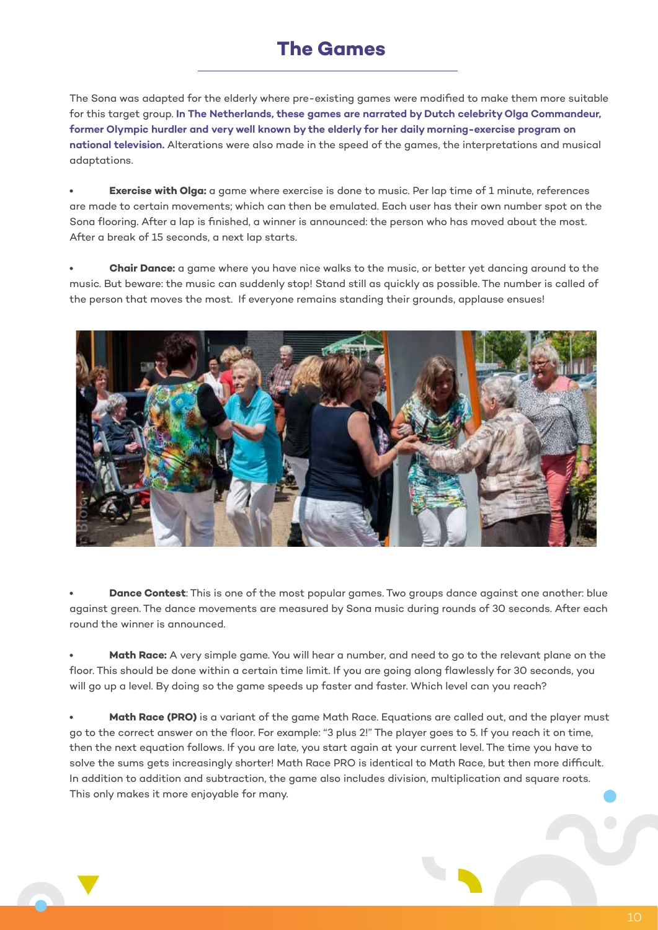### **The Games**

The Sona was adapted for the elderly where pre-existing games were modified to make them more suitable for this target group. **In The Netherlands, these games are narrated by Dutch celebrity Olga Commandeur, former Olympic hurdler and very well known by the elderly for her daily morning-exercise program on national television.** Alterations were also made in the speed of the games, the interpretations and musical adaptations.

**Exercise with Olga:** a game where exercise is done to music. Per lap time of 1 minute, references are made to certain movements; which can then be emulated. Each user has their own number spot on the Sona flooring. After a lap is finished, a winner is announced: the person who has moved about the most. After a break of 15 seconds, a next lap starts.

**• Chair Dance:** a game where you have nice walks to the music, or better yet dancing around to the music. But beware: the music can suddenly stop! Stand still as quickly as possible. The number is called of the person that moves the most. If everyone remains standing their grounds, applause ensues!



**• Dance Contest**: This is one of the most popular games. Two groups dance against one another: blue against green. The dance movements are measured by Sona music during rounds of 30 seconds. After each round the winner is announced.

**• Math Race:** A very simple game. You will hear a number, and need to go to the relevant plane on the floor. This should be done within a certain time limit. If you are going along flawlessly for 30 seconds, you will go up a level. By doing so the game speeds up faster and faster. Which level can you reach?

**• Math Race (PRO)** is a variant of the game Math Race. Equations are called out, and the player must go to the correct answer on the floor. For example: "3 plus 2!" The player goes to 5. If you reach it on time, then the next equation follows. If you are late, you start again at your current level. The time you have to solve the sums gets increasingly shorter! Math Race PRO is identical to Math Race, but then more difficult. In addition to addition and subtraction, the game also includes division, multiplication and square roots. This only makes it more enjoyable for many.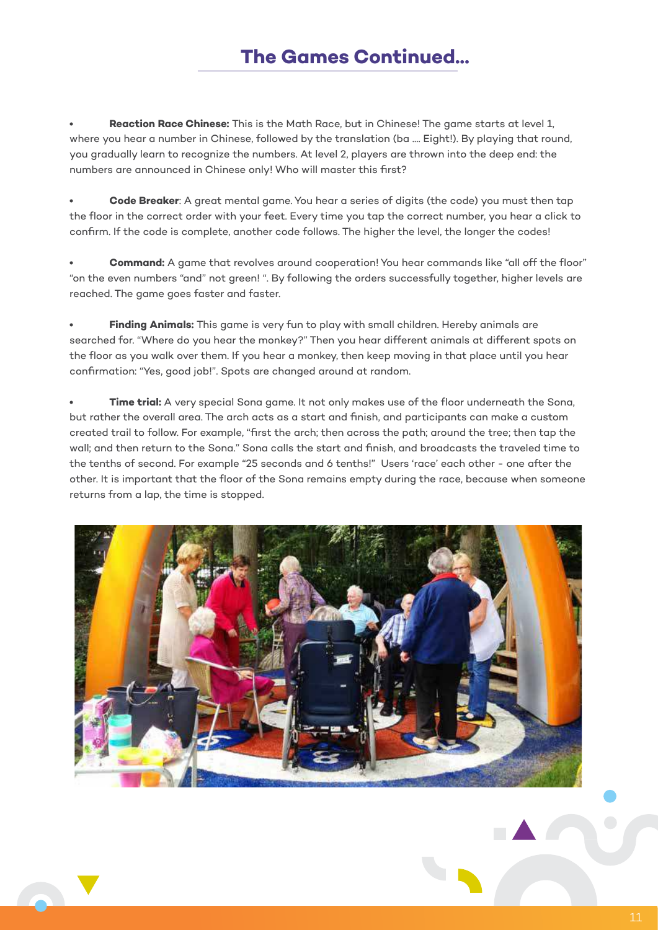# **The Games Continued...**

**• Reaction Race Chinese:** This is the Math Race, but in Chinese! The game starts at level 1, where you hear a number in Chinese, followed by the translation (ba .... Eight!). By playing that round, you gradually learn to recognize the numbers. At level 2, players are thrown into the deep end: the numbers are announced in Chinese only! Who will master this first?

**• Code Breaker**: A great mental game. You hear a series of digits (the code) you must then tap the floor in the correct order with your feet. Every time you tap the correct number, you hear a click to confirm. If the code is complete, another code follows. The higher the level, the longer the codes!

**• Command:** A game that revolves around cooperation! You hear commands like "all off the floor" "on the even numbers "and" not green! ". By following the orders successfully together, higher levels are reached. The game goes faster and faster.

**• Finding Animals:** This game is very fun to play with small children. Hereby animals are searched for. "Where do you hear the monkey?" Then you hear different animals at different spots on the floor as you walk over them. If you hear a monkey, then keep moving in that place until you hear confirmation: "Yes, good job!". Spots are changed around at random.

**• Time trial:** A very special Sona game. It not only makes use of the floor underneath the Sona, but rather the overall area. The arch acts as a start and finish, and participants can make a custom created trail to follow. For example, "first the arch; then across the path; around the tree; then tap the wall; and then return to the Sona." Sona calls the start and finish, and broadcasts the traveled time to the tenths of second. For example "25 seconds and 6 tenths!" Users 'race' each other - one after the other. It is important that the floor of the Sona remains empty during the race, because when someone returns from a lap, the time is stopped.

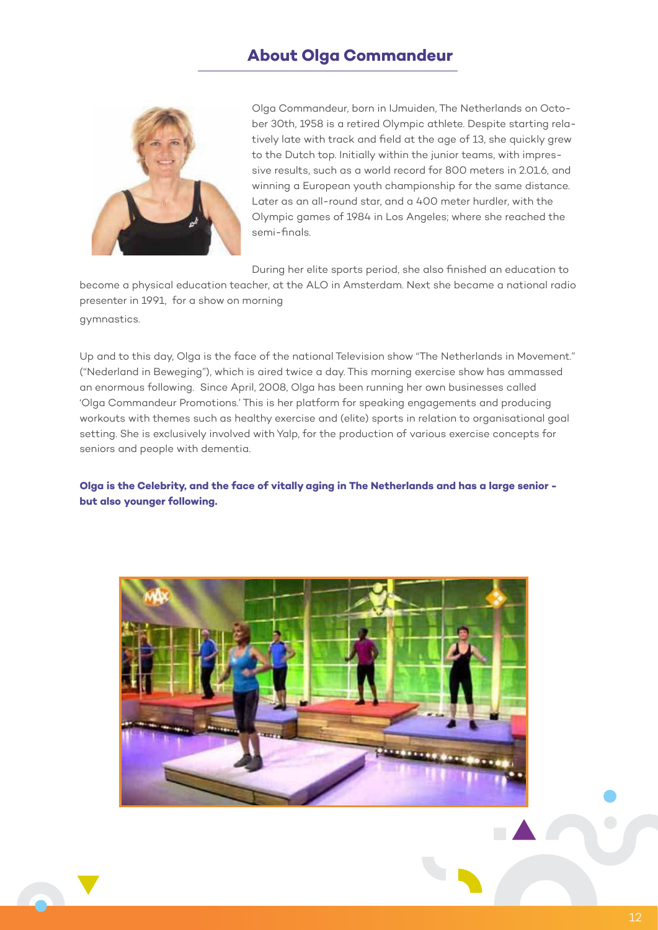### **About Olga Commandeur**



Olga Commandeur, born in IJmuiden, The Netherlands on October 30th, 1958 is a retired Olympic athlete. Despite starting relatively late with track and field at the age of 13, she quickly grew to the Dutch top. Initially within the junior teams, with impressive results, such as a world record for 800 meters in 2.01.6, and winning a European youth championship for the same distance. Later as an all-round star, and a 400 meter hurdler, with the Olympic games of 1984 in Los Angeles; where she reached the semi-finals.

During her elite sports period, she also finished an education to

become a physical education teacher, at the ALO in Amsterdam. Next she became a national radio presenter in 1991, for a show on morning gymnastics.

Up and to this day, Olga is the face of the national Television show "The Netherlands in Movement." ("Nederland in Beweging"), which is aired twice a day. This morning exercise show has ammassed an enormous following. Since April, 2008, Olga has been running her own businesses called 'Olga Commandeur Promotions.' This is her platform for speaking engagements and producing workouts with themes such as healthy exercise and (elite) sports in relation to organisational goal setting. She is exclusively involved with Yalp, for the production of various exercise concepts for seniors and people with dementia.

**Olga is the Celebrity, and the face of vitally aging in The Netherlands and has a large senior but also younger following.** 

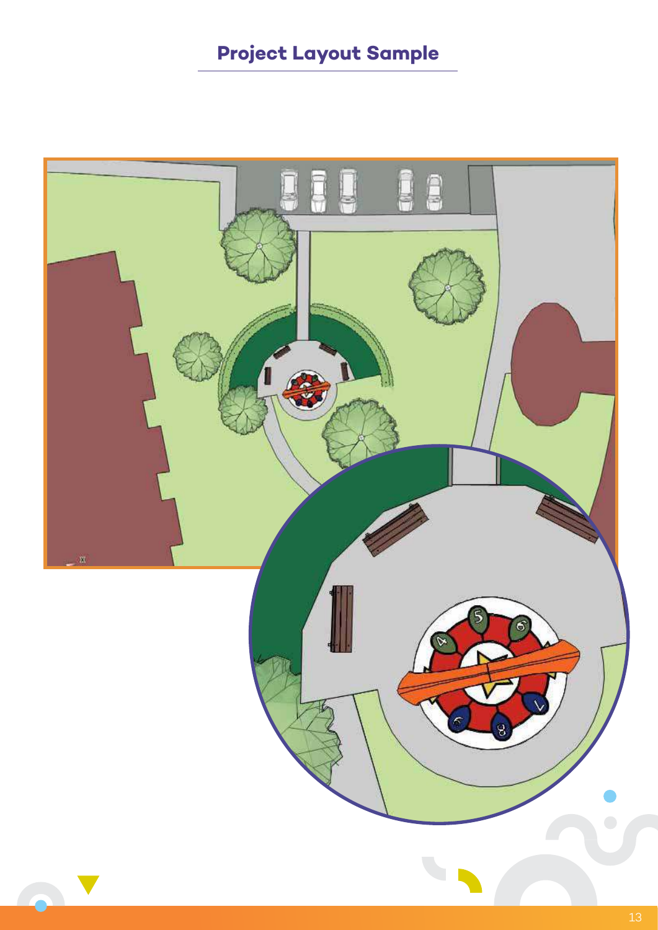# **Project Layout Sample**